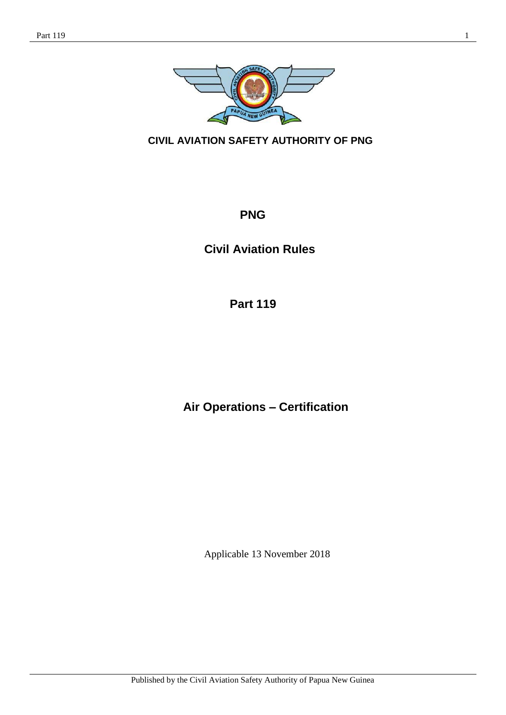

**CIVIL AVIATION SAFETY AUTHORITY OF PNG**

# **PNG**

**Civil Aviation Rules**

**Part 119**

**Air Operations – Certification**

Applicable 13 November 2018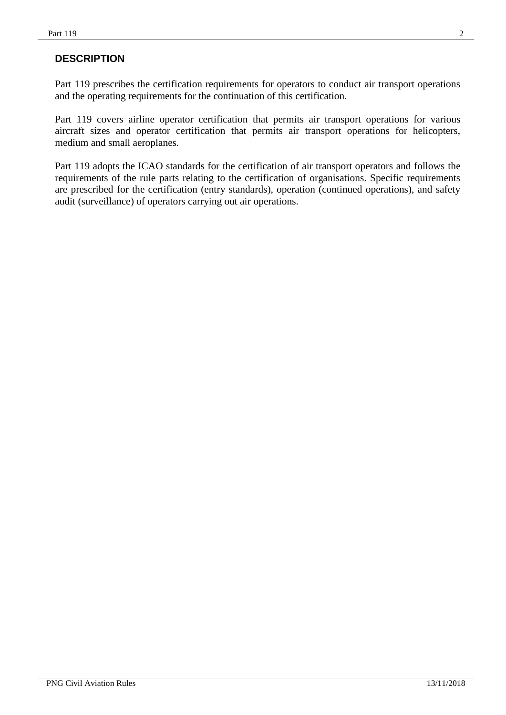# **DESCRIPTION**

Part 119 prescribes the certification requirements for operators to conduct air transport operations and the operating requirements for the continuation of this certification.

Part 119 covers airline operator certification that permits air transport operations for various aircraft sizes and operator certification that permits air transport operations for helicopters, medium and small aeroplanes.

Part 119 adopts the ICAO standards for the certification of air transport operators and follows the requirements of the rule parts relating to the certification of organisations. Specific requirements are prescribed for the certification (entry standards), operation (continued operations), and safety audit (surveillance) of operators carrying out air operations.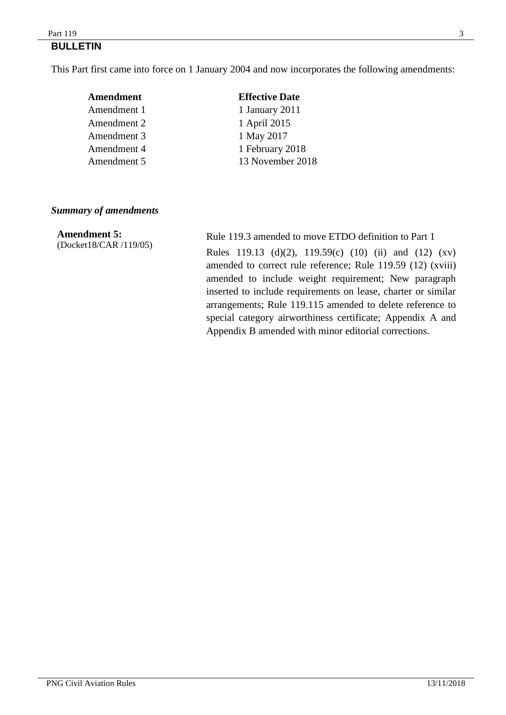#### $Part 119$   $3$ **BULLETIN**

This Part first came into force on 1 January 2004 and now incorporates the following amendments:

| Amendment   | <b>Effective Date</b> |
|-------------|-----------------------|
| Amendment 1 | 1 January 2011        |
| Amendment 2 | 1 April 2015          |
| Amendment 3 | 1 May 2017            |
| Amendment 4 | 1 February 2018       |
| Amendment 5 | 13 November 2018      |
|             |                       |

### *Summary of amendments*

**Amendment 5:** (Docket18/CAR /119/05)

Rule 119.3 amended to move ETDO definition to Part 1 Rules 119.13 (d)(2), 119.59(c) (10) (ii) and (12) (xv) amended to correct rule reference; Rule 119.59 (12) (xviii) amended to include weight requirement; New paragraph inserted to include requirements on lease, charter or similar arrangements; Rule 119.115 amended to delete reference to special category airworthiness certificate; Appendix A and Appendix B amended with minor editorial corrections.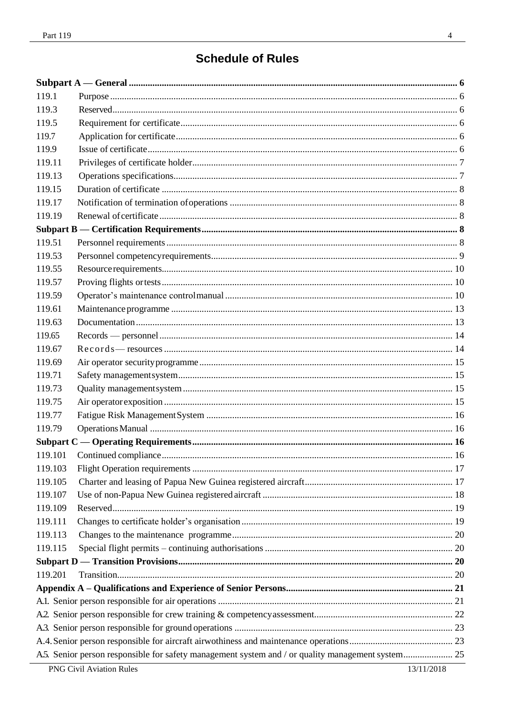| 119.1   |  |
|---------|--|
| 119.3   |  |
| 119.5   |  |
| 119.7   |  |
| 119.9   |  |
| 119.11  |  |
| 119.13  |  |
| 119.15  |  |
| 119.17  |  |
| 119.19  |  |
|         |  |
| 119.51  |  |
| 119.53  |  |
| 119.55  |  |
| 119.57  |  |
| 119.59  |  |
| 119.61  |  |
| 119.63  |  |
| 119.65  |  |
| 119.67  |  |
| 119.69  |  |
| 119.71  |  |
| 119.73  |  |
| 119.75  |  |
| 119.77  |  |
| 119.79  |  |
|         |  |
|         |  |
| 119.103 |  |
| 119.105 |  |
| 119.107 |  |
| 119.109 |  |
| 119.111 |  |
| 119.113 |  |
| 119.115 |  |
|         |  |
| 119.201 |  |
|         |  |
|         |  |
|         |  |
|         |  |
|         |  |
|         |  |

 $\frac{1}{2}$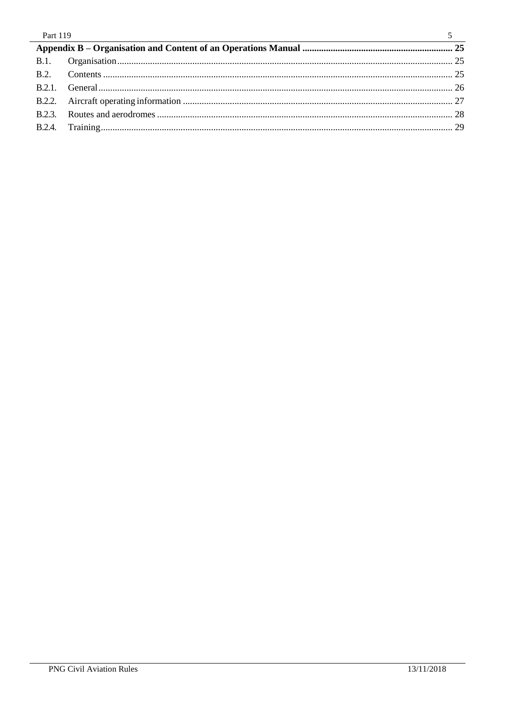| Part 119 |      |  |
|----------|------|--|
|          |      |  |
|          |      |  |
|          | B.2. |  |
|          |      |  |
|          |      |  |
|          |      |  |
|          |      |  |
|          |      |  |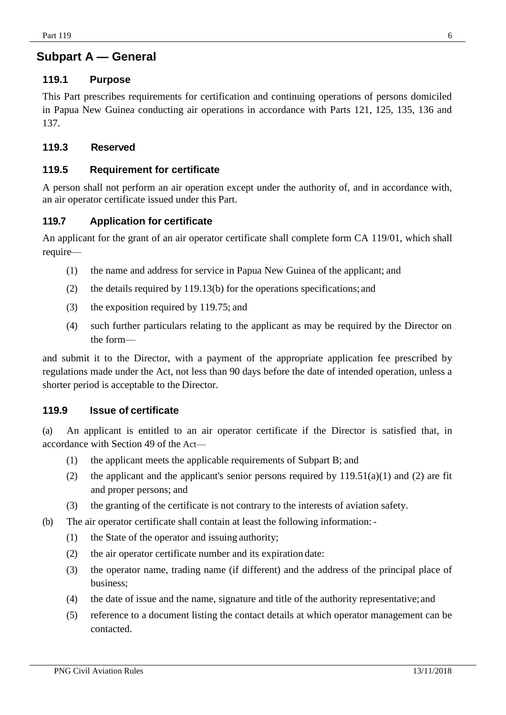# <span id="page-5-1"></span><span id="page-5-0"></span>**Subpart A — General**

## **119.1 Purpose**

This Part prescribes requirements for certification and continuing operations of persons domiciled in Papua New Guinea conducting air operations in accordance with Parts 121, 125, 135, 136 and 137.

### <span id="page-5-2"></span>**119.3 Reserved**

### <span id="page-5-3"></span>**119.5 Requirement for certificate**

A person shall not perform an air operation except under the authority of, and in accordance with, an air operator certificate issued under this Part.

### <span id="page-5-4"></span>**119.7 Application for certificate**

An applicant for the grant of an air operator certificate shall complete form CA 119/01, which shall require—

- (1) the name and address for service in Papua New Guinea of the applicant; and
- (2) the details required by 119.13(b) for the operations specifications; and
- (3) the exposition required by 119.75; and
- (4) such further particulars relating to the applicant as may be required by the Director on the form—

and submit it to the Director, with a payment of the appropriate application fee prescribed by regulations made under the Act, not less than 90 days before the date of intended operation, unless a shorter period is acceptable to the Director.

### <span id="page-5-5"></span>**119.9 Issue of certificate**

(a) An applicant is entitled to an air operator certificate if the Director is satisfied that, in accordance with Section 49 of the Act—

- (1) the applicant meets the applicable requirements of Subpart B; and
- (2) the applicant and the applicant's senior persons required by  $119.51(a)(1)$  and (2) are fit and proper persons; and
- (3) the granting of the certificate is not contrary to the interests of aviation safety.
- (b) The air operator certificate shall contain at least the following information:-
	- (1) the State of the operator and issuing authority;
	- (2) the air operator certificate number and its expiration date:
	- (3) the operator name, trading name (if different) and the address of the principal place of business;
	- (4) the date of issue and the name, signature and title of the authority representative;and
	- (5) reference to a document listing the contact details at which operator management can be contacted.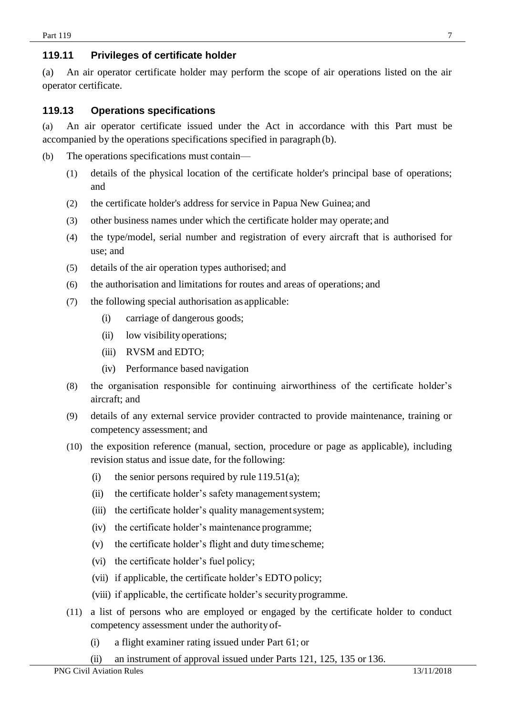# <span id="page-6-0"></span>**119.11 Privileges of certificate holder**

(a) An air operator certificate holder may perform the scope of air operations listed on the air operator certificate.

### <span id="page-6-1"></span>**119.13 Operations specifications**

(a) An air operator certificate issued under the Act in accordance with this Part must be accompanied by the operations specifications specified in paragraph (b).

- (b) The operations specifications must contain—
	- (1) details of the physical location of the certificate holder's principal base of operations; and
	- (2) the certificate holder's address for service in Papua New Guinea; and
	- (3) other business names under which the certificate holder may operate; and
	- (4) the type/model, serial number and registration of every aircraft that is authorised for use; and
	- (5) details of the air operation types authorised; and
	- (6) the authorisation and limitations for routes and areas of operations; and
	- (7) the following special authorisation as applicable:
		- (i) carriage of dangerous goods;
		- (ii) low visibility operations;
		- (iii) RVSM and EDTO;
		- (iv) Performance based navigation
	- (8) the organisation responsible for continuing airworthiness of the certificate holder's aircraft; and
	- (9) details of any external service provider contracted to provide maintenance, training or competency assessment; and
	- (10) the exposition reference (manual, section, procedure or page as applicable), including revision status and issue date, for the following:
		- (i) the senior persons required by rule  $119.51(a)$ ;
		- (ii) the certificate holder's safety managementsystem;
		- (iii) the certificate holder's quality managementsystem;
		- (iv) the certificate holder's maintenance programme;
		- (v) the certificate holder's flight and duty time scheme;
		- (vi) the certificate holder's fuel policy;
		- (vii) if applicable, the certificate holder's EDTO policy;
		- (viii) if applicable, the certificate holder's securityprogramme.
	- (11) a list of persons who are employed or engaged by the certificate holder to conduct competency assessment under the authority of-
		- (i) a flight examiner rating issued under Part 61; or
		- (ii) an instrument of approval issued under Parts 121, 125, 135 or 136.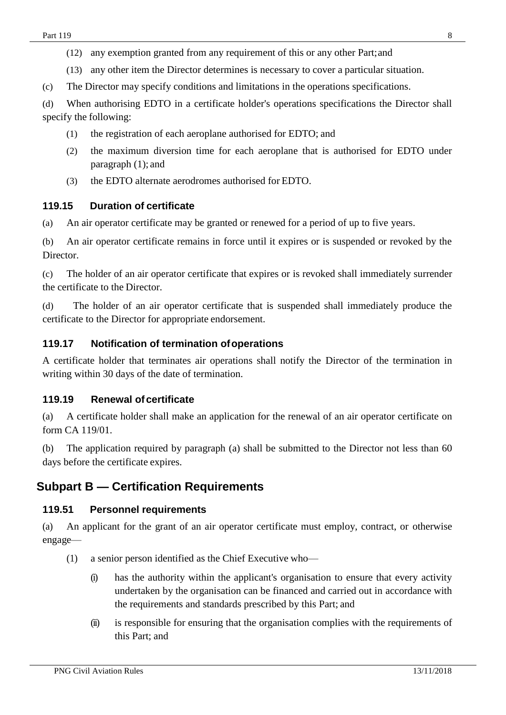(13) any other item the Director determines is necessary to cover a particular situation.

(c) The Director may specify conditions and limitations in the operations specifications.

(d) When authorising EDTO in a certificate holder's operations specifications the Director shall specify the following:

- (1) the registration of each aeroplane authorised for EDTO; and
- (2) the maximum diversion time for each aeroplane that is authorised for EDTO under paragraph (1); and
- (3) the EDTO alternate aerodromes authorised for EDTO.

## <span id="page-7-0"></span>**119.15 Duration of certificate**

(a) An air operator certificate may be granted or renewed for a period of up to five years.

(b) An air operator certificate remains in force until it expires or is suspended or revoked by the Director.

(c) The holder of an air operator certificate that expires or is revoked shall immediately surrender the certificate to the Director.

(d) The holder of an air operator certificate that is suspended shall immediately produce the certificate to the Director for appropriate endorsement.

## <span id="page-7-1"></span>**119.17 Notification of termination ofoperations**

A certificate holder that terminates air operations shall notify the Director of the termination in writing within 30 days of the date of termination.

## <span id="page-7-2"></span>**119.19 Renewal ofcertificate**

(a) A certificate holder shall make an application for the renewal of an air operator certificate on form CA 119/01.

(b) The application required by paragraph (a) shall be submitted to the Director not less than 60 days before the certificate expires.

# <span id="page-7-4"></span><span id="page-7-3"></span>**Subpart B — Certification Requirements**

## **119.51 Personnel requirements**

(a) An applicant for the grant of an air operator certificate must employ, contract, or otherwise engage—

- (1) a senior person identified as the Chief Executive who—
	- (i) has the authority within the applicant's organisation to ensure that every activity undertaken by the organisation can be financed and carried out in accordance with the requirements and standards prescribed by this Part; and
	- (ii) is responsible for ensuring that the organisation complies with the requirements of this Part; and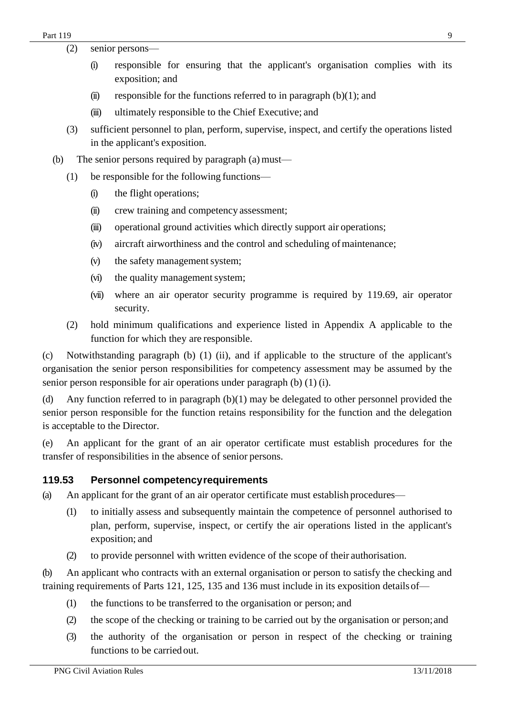- (2) senior persons—
	- (i) responsible for ensuring that the applicant's organisation complies with its exposition; and
	- (ii) responsible for the functions referred to in paragraph  $(b)(1)$ ; and
	- (iii) ultimately responsible to the Chief Executive; and
- (3) sufficient personnel to plan, perform, supervise, inspect, and certify the operations listed in the applicant's exposition.
- (b) The senior persons required by paragraph  $(a)$  must—
	- (1) be responsible for the following functions—
		- (i) the flight operations;
		- (ii) crew training and competency assessment;
		- (iii) operational ground activities which directly support air operations;
		- (iv) aircraft airworthiness and the control and scheduling of maintenance;
		- (v) the safety management system;
		- (vi) the quality management system;
		- (vii) where an air operator security programme is required by 119.69, air operator security.
	- (2) hold minimum qualifications and experience listed in Appendix A applicable to the function for which they are responsible.

(c) Notwithstanding paragraph (b) (1) (ii), and if applicable to the structure of the applicant's organisation the senior person responsibilities for competency assessment may be assumed by the senior person responsible for air operations under paragraph (b) (1) (i).

(d) Any function referred to in paragraph (b)(1) may be delegated to other personnel provided the senior person responsible for the function retains responsibility for the function and the delegation is acceptable to the Director.

(e) An applicant for the grant of an air operator certificate must establish procedures for the transfer of responsibilities in the absence of senior persons.

### <span id="page-8-0"></span>**119.53 Personnel competencyrequirements**

(a) An applicant for the grant of an air operator certificate must establish procedures—

- (1) to initially assess and subsequently maintain the competence of personnel authorised to plan, perform, supervise, inspect, or certify the air operations listed in the applicant's exposition; and
- (2) to provide personnel with written evidence of the scope of their authorisation.

(b) An applicant who contracts with an external organisation or person to satisfy the checking and training requirements of Parts 121, 125, 135 and 136 must include in its exposition detailsof—

- (1) the functions to be transferred to the organisation or person; and
- (2) the scope of the checking or training to be carried out by the organisation or person;and
- (3) the authority of the organisation or person in respect of the checking or training functions to be carriedout.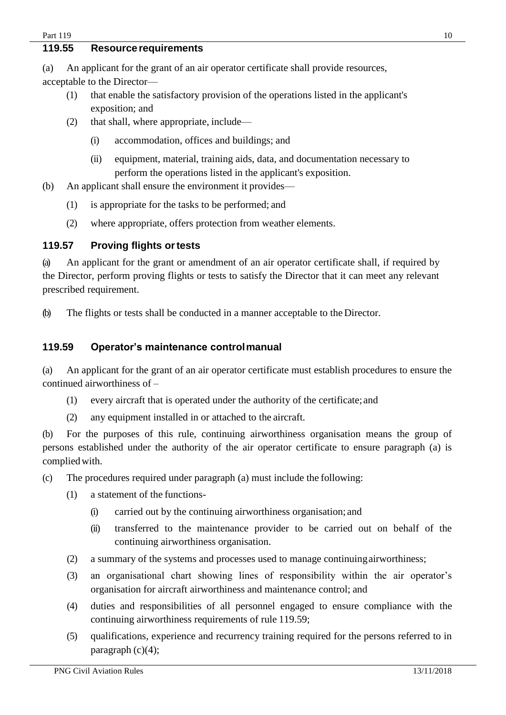### <span id="page-9-0"></span>**119.55 Resource requirements**

(a) An applicant for the grant of an air operator certificate shall provide resources, acceptable to the Director—

- (1) that enable the satisfactory provision of the operations listed in the applicant's exposition; and
- (2) that shall, where appropriate, include—
	- (i) accommodation, offices and buildings; and
	- (ii) equipment, material, training aids, data, and documentation necessary to perform the operations listed in the applicant's exposition.
- (b) An applicant shall ensure the environment it provides—
	- (1) is appropriate for the tasks to be performed; and
	- (2) where appropriate, offers protection from weather elements.

### <span id="page-9-1"></span>**119.57 Proving flights ortests**

(a) An applicant for the grant or amendment of an air operator certificate shall, if required by the Director, perform proving flights or tests to satisfy the Director that it can meet any relevant prescribed requirement.

(b) The flights or tests shall be conducted in a manner acceptable to the Director.

### <span id="page-9-2"></span>**119.59 Operator's maintenance controlmanual**

(a) An applicant for the grant of an air operator certificate must establish procedures to ensure the continued airworthiness of –

- (1) every aircraft that is operated under the authority of the certificate; and
- (2) any equipment installed in or attached to the aircraft.

(b) For the purposes of this rule, continuing airworthiness organisation means the group of persons established under the authority of the air operator certificate to ensure paragraph (a) is compliedwith.

(c) The procedures required under paragraph (a) must include the following:

- (1) a statement of the functions-
	- (i) carried out by the continuing airworthiness organisation; and
	- (ii) transferred to the maintenance provider to be carried out on behalf of the continuing airworthiness organisation.
- (2) a summary of the systems and processes used to manage continuingairworthiness;
- (3) an organisational chart showing lines of responsibility within the air operator's organisation for aircraft airworthiness and maintenance control; and
- (4) duties and responsibilities of all personnel engaged to ensure compliance with the continuing airworthiness requirements of rule 119.59;
- (5) qualifications, experience and recurrency training required for the persons referred to in paragraph  $(c)(4)$ ;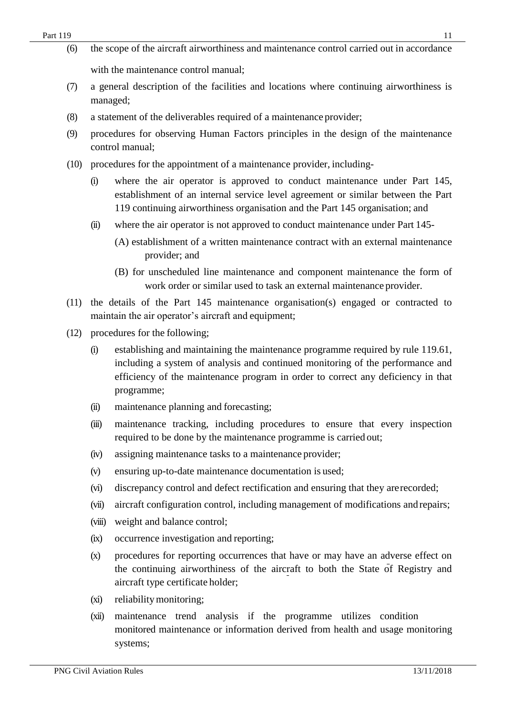- (6) the scope of the aircraft airworthiness and maintenance control carried out in accordance with the maintenance control manual;
- (7) a general description of the facilities and locations where continuing airworthiness is managed;
- (8) a statement of the deliverables required of a maintenance provider;
- (9) procedures for observing Human Factors principles in the design of the maintenance control manual;
- (10) procedures for the appointment of a maintenance provider, including-
	- (i) where the air operator is approved to conduct maintenance under Part 145, establishment of an internal service level agreement or similar between the Part 119 continuing airworthiness organisation and the Part 145 organisation; and
	- (ii) where the air operator is not approved to conduct maintenance under Part 145-
		- (A) establishment of a written maintenance contract with an external maintenance provider; and
		- (B) for unscheduled line maintenance and component maintenance the form of work order or similar used to task an external maintenance provider.
- (11) the details of the Part 145 maintenance organisation(s) engaged or contracted to maintain the air operator's aircraft and equipment;
- (12) procedures for the following;
	- (i) establishing and maintaining the maintenance programme required by rule 119.61, including a system of analysis and continued monitoring of the performance and efficiency of the maintenance program in order to correct any deficiency in that programme;
	- (ii) maintenance planning and forecasting;
	- (iii) maintenance tracking, including procedures to ensure that every inspection required to be done by the maintenance programme is carried out;
	- (iv) assigning maintenance tasks to a maintenance provider;
	- (v) ensuring up-to-date maintenance documentation is used;
	- (vi) discrepancy control and defect rectification and ensuring that they arerecorded;
	- (vii) aircraft configuration control, including management of modifications and repairs;
	- (viii) weight and balance control;
	- (ix) occurrence investigation and reporting;
	- (x) procedures for reporting occurrences that have or may have an adverse effect on the continuing airworthiness of the aircraft to both the State of Registry and aircraft type certificate holder;
	- (xi) reliabilitymonitoring;
	- (xii) maintenance trend analysis if the programme utilizes condition monitored maintenance or information derived from health and usage monitoring systems;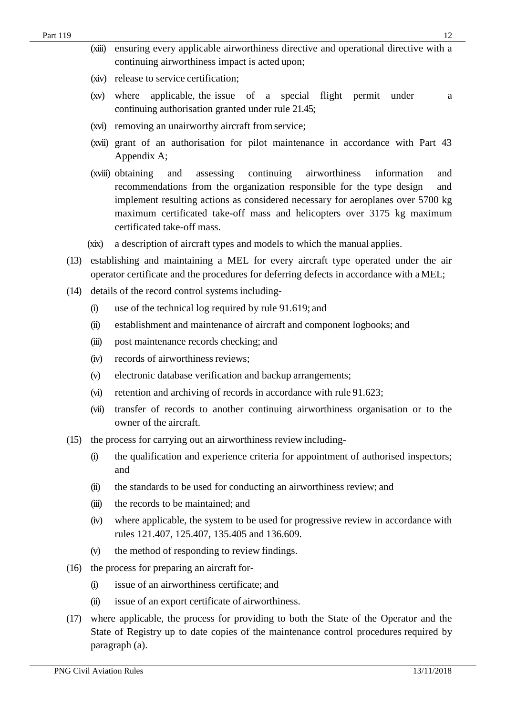- (xiv) release to service certification;
- (xv) where applicable, the issue of a special flight permit under a continuing authorisation granted under rule 21.45;
- (xvi) removing an unairworthy aircraft from service;
- (xvii) grant of an authorisation for pilot maintenance in accordance with Part 43 Appendix A;
- (xviii) obtaining and assessing continuing airworthiness information and recommendations from the organization responsible for the type design and implement resulting actions as considered necessary for aeroplanes over 5700 kg maximum certificated take-off mass and helicopters over 3175 kg maximum certificated take-off mass.
- (xix) a description of aircraft types and models to which the manual applies.
- (13) establishing and maintaining a MEL for every aircraft type operated under the air operator certificate and the procedures for deferring defects in accordance with aMEL;
- (14) details of the record control systemsincluding-
	- (i) use of the technical log required by rule 91.619; and
	- (ii) establishment and maintenance of aircraft and component logbooks; and
	- (iii) post maintenance records checking; and
	- (iv) records of airworthiness reviews;
	- (v) electronic database verification and backup arrangements;
	- (vi) retention and archiving of records in accordance with rule 91.623;
	- (vii) transfer of records to another continuing airworthiness organisation or to the owner of the aircraft.
- (15) the process for carrying out an airworthiness review including-
	- (i) the qualification and experience criteria for appointment of authorised inspectors; and
	- (ii) the standards to be used for conducting an airworthiness review; and
	- (iii) the records to be maintained; and
	- (iv) where applicable, the system to be used for progressive review in accordance with rules 121.407, 125.407, 135.405 and 136.609.
	- (v) the method of responding to review findings.
- (16) the process for preparing an aircraft for-
	- (i) issue of an airworthiness certificate; and
	- (ii) issue of an export certificate of airworthiness.
- (17) where applicable, the process for providing to both the State of the Operator and the State of Registry up to date copies of the maintenance control procedures required by paragraph (a).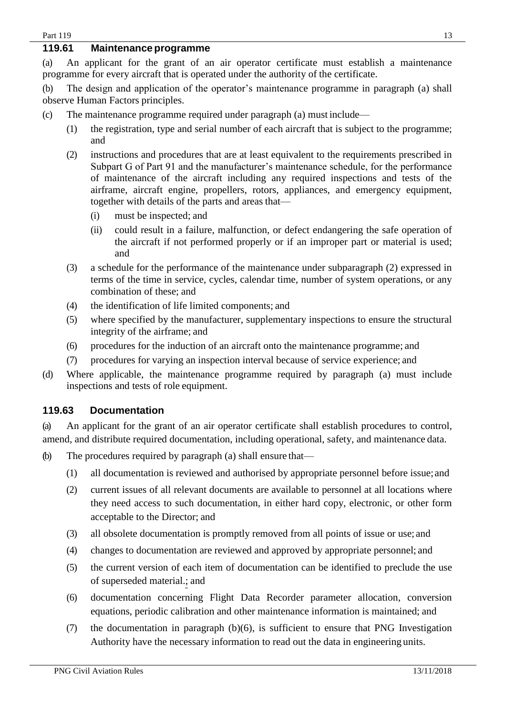## <span id="page-12-0"></span>**119.61 Maintenance programme**

(a) An applicant for the grant of an air operator certificate must establish a maintenance programme for every aircraft that is operated under the authority of the certificate.

(b) The design and application of the operator's maintenance programme in paragraph (a) shall observe Human Factors principles.

- (c) The maintenance programme required under paragraph (a) must include—
	- (1) the registration, type and serial number of each aircraft that is subject to the programme; and
	- (2) instructions and procedures that are at least equivalent to the requirements prescribed in Subpart G of Part 91 and the manufacturer's maintenance schedule, for the performance of maintenance of the aircraft including any required inspections and tests of the airframe, aircraft engine, propellers, rotors, appliances, and emergency equipment, together with details of the parts and areas that—
		- (i) must be inspected; and
		- (ii) could result in a failure, malfunction, or defect endangering the safe operation of the aircraft if not performed properly or if an improper part or material is used; and
	- (3) a schedule for the performance of the maintenance under subparagraph (2) expressed in terms of the time in service, cycles, calendar time, number of system operations, or any combination of these; and
	- (4) the identification of life limited components; and
	- (5) where specified by the manufacturer, supplementary inspections to ensure the structural integrity of the airframe; and
	- (6) procedures for the induction of an aircraft onto the maintenance programme; and
	- (7) procedures for varying an inspection interval because of service experience; and
- (d) Where applicable, the maintenance programme required by paragraph (a) must include inspections and tests of role equipment.

## <span id="page-12-1"></span>**119.63 Documentation**

(a) An applicant for the grant of an air operator certificate shall establish procedures to control, amend, and distribute required documentation, including operational, safety, and maintenance data.

- (b) The procedures required by paragraph (a) shall ensure that—
	- (1) all documentation is reviewed and authorised by appropriate personnel before issue; and
	- (2) current issues of all relevant documents are available to personnel at all locations where they need access to such documentation, in either hard copy, electronic, or other form acceptable to the Director; and
	- (3) all obsolete documentation is promptly removed from all points of issue or use; and
	- (4) changes to documentation are reviewed and approved by appropriate personnel; and
	- (5) the current version of each item of documentation can be identified to preclude the use of superseded material.; and
	- (6) documentation concerning Flight Data Recorder parameter allocation, conversion equations, periodic calibration and other maintenance information is maintained; and
	- (7) the documentation in paragraph (b)(6), is sufficient to ensure that PNG Investigation Authority have the necessary information to read out the data in engineering units.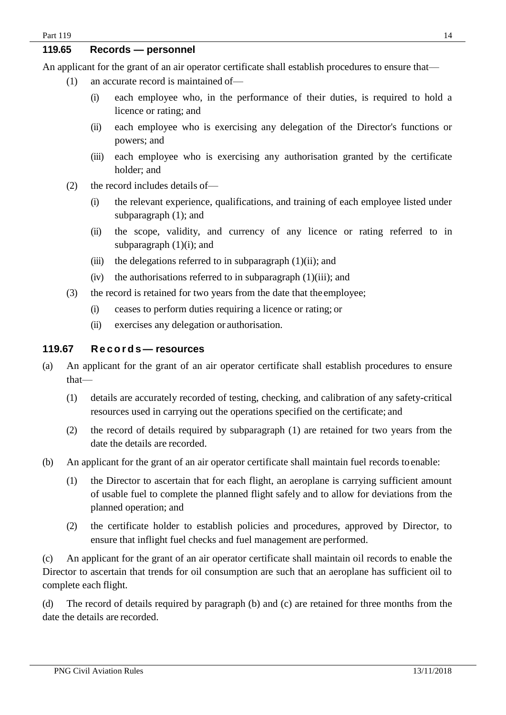### <span id="page-13-0"></span>**119.65 Records — personnel**

An applicant for the grant of an air operator certificate shall establish procedures to ensure that—

- (1) an accurate record is maintained of—
	- (i) each employee who, in the performance of their duties, is required to hold a licence or rating; and
	- (ii) each employee who is exercising any delegation of the Director's functions or powers; and
	- (iii) each employee who is exercising any authorisation granted by the certificate holder; and
- (2) the record includes details of—
	- (i) the relevant experience, qualifications, and training of each employee listed under subparagraph (1); and
	- (ii) the scope, validity, and currency of any licence or rating referred to in subparagraph  $(1)(i)$ ; and
	- (iii) the delegations referred to in subparagraph  $(1)(ii)$ ; and
	- $(iv)$  the authorisations referred to in subparagraph  $(1)(iii)$ ; and
- (3) the record is retained for two years from the date that the employee;
	- (i) ceases to perform duties requiring a licence or rating; or
	- (ii) exercises any delegation or authorisation.

# <span id="page-13-1"></span>**119.67 Re c o r d s— resources**

- (a) An applicant for the grant of an air operator certificate shall establish procedures to ensure that—
	- (1) details are accurately recorded of testing, checking, and calibration of any safety-critical resources used in carrying out the operations specified on the certificate; and
	- (2) the record of details required by subparagraph (1) are retained for two years from the date the details are recorded.
- (b) An applicant for the grant of an air operator certificate shall maintain fuel records to enable:
	- (1) the Director to ascertain that for each flight, an aeroplane is carrying sufficient amount of usable fuel to complete the planned flight safely and to allow for deviations from the planned operation; and
	- (2) the certificate holder to establish policies and procedures, approved by Director, to ensure that inflight fuel checks and fuel management are performed.

(c) An applicant for the grant of an air operator certificate shall maintain oil records to enable the Director to ascertain that trends for oil consumption are such that an aeroplane has sufficient oil to complete each flight.

(d) The record of details required by paragraph (b) and (c) are retained for three months from the date the details are recorded.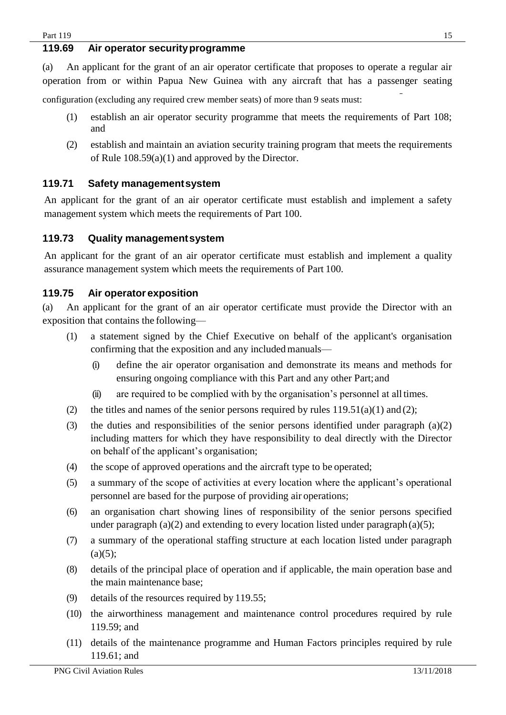### <span id="page-14-0"></span>**119.69 Air operator securityprogramme**

(a) An applicant for the grant of an air operator certificate that proposes to operate a regular air operation from or within Papua New Guinea with any aircraft that has a passenger seating

configuration (excluding any required crew member seats) of more than 9 seats must:

- (1) establish an air operator security programme that meets the requirements of Part 108; and
- (2) establish and maintain an aviation security training program that meets the requirements of Rule 108.59(a)(1) and approved by the Director.

### <span id="page-14-1"></span>**119.71 Safety managementsystem**

An applicant for the grant of an air operator certificate must establish and implement a safety management system which meets the requirements of Part 100.

### <span id="page-14-2"></span>**119.73 Quality managementsystem**

An applicant for the grant of an air operator certificate must establish and implement a quality assurance management system which meets the requirements of Part 100.

# <span id="page-14-3"></span>**119.75 Air operator exposition**

(a) An applicant for the grant of an air operator certificate must provide the Director with an exposition that contains the following—

- (1) a statement signed by the Chief Executive on behalf of the applicant's organisation confirming that the exposition and any included manuals—
	- (i) define the air operator organisation and demonstrate its means and methods for ensuring ongoing compliance with this Part and any other Part;and
	- (ii) are required to be complied with by the organisation's personnel at all times.
- (2) the titles and names of the senior persons required by rules  $119.51(a)(1)$  and (2);
- (3) the duties and responsibilities of the senior persons identified under paragraph (a)(2) including matters for which they have responsibility to deal directly with the Director on behalf of the applicant's organisation;
- (4) the scope of approved operations and the aircraft type to be operated;
- (5) a summary of the scope of activities at every location where the applicant's operational personnel are based for the purpose of providing air operations;
- (6) an organisation chart showing lines of responsibility of the senior persons specified under paragraph (a)(2) and extending to every location listed under paragraph(a)(5);
- (7) a summary of the operational staffing structure at each location listed under paragraph  $(a)(5);$
- (8) details of the principal place of operation and if applicable, the main operation base and the main maintenance base;
- (9) details of the resources required by 119.55;
- (10) the airworthiness management and maintenance control procedures required by rule 119.59; and
- (11) details of the maintenance programme and Human Factors principles required by rule 119.61; and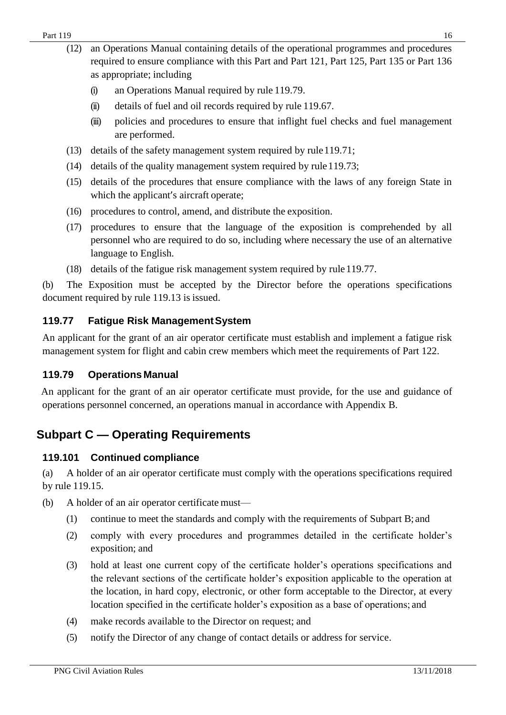- (i) an Operations Manual required by rule 119.79.
- (ii) details of fuel and oil records required by rule 119.67.
- (iii) policies and procedures to ensure that inflight fuel checks and fuel management are performed.
- (13) details of the safety management system required by rule119.71;
- (14) details of the quality management system required by rule  $119.73$ ;
- (15) details of the procedures that ensure compliance with the laws of any foreign State in which the applicant's aircraft operate;
- (16) procedures to control, amend, and distribute the exposition.
- (17) procedures to ensure that the language of the exposition is comprehended by all personnel who are required to do so, including where necessary the use of an alternative language to English.
- (18) details of the fatigue risk management system required by rule119.77.

(b) The Exposition must be accepted by the Director before the operations specifications document required by rule 119.13 is issued.

# <span id="page-15-0"></span>**119.77 Fatigue Risk ManagementSystem**

An applicant for the grant of an air operator certificate must establish and implement a fatigue risk management system for flight and cabin crew members which meet the requirements of Part 122.

# <span id="page-15-1"></span>**119.79 Operations Manual**

An applicant for the grant of an air operator certificate must provide, for the use and guidance of operations personnel concerned, an operations manual in accordance with Appendix B.

# <span id="page-15-2"></span>**Subpart C — Operating Requirements**

# <span id="page-15-3"></span>**119.101 Continued compliance**

(a) A holder of an air operator certificate must comply with the operations specifications required by rule 119.15.

- (b) A holder of an air operator certificate must—
	- (1) continue to meet the standards and comply with the requirements of Subpart B; and
	- (2) comply with every procedures and programmes detailed in the certificate holder's exposition; and
	- (3) hold at least one current copy of the certificate holder's operations specifications and the relevant sections of the certificate holder's exposition applicable to the operation at the location, in hard copy, electronic, or other form acceptable to the Director, at every location specified in the certificate holder's exposition as a base of operations; and
	- (4) make records available to the Director on request; and
	- (5) notify the Director of any change of contact details or address for service.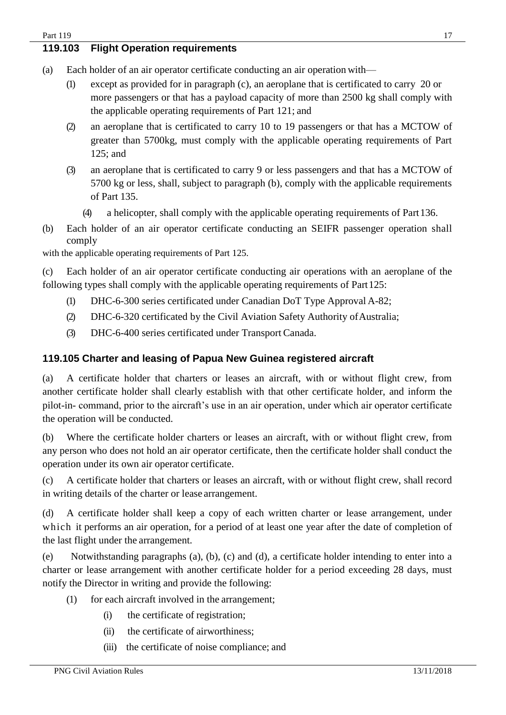### <span id="page-16-0"></span>**119.103 Flight Operation requirements**

- (a) Each holder of an air operator certificate conducting an air operation with—
	- (1) except as provided for in paragraph (c), an aeroplane that is certificated to carry 20 or more passengers or that has a payload capacity of more than 2500 kg shall comply with the applicable operating requirements of Part 121; and
	- (2) an aeroplane that is certificated to carry 10 to 19 passengers or that has a MCTOW of greater than 5700kg, must comply with the applicable operating requirements of Part 125; and
	- (3) an aeroplane that is certificated to carry 9 or less passengers and that has a MCTOW of 5700 kg or less, shall, subject to paragraph (b), comply with the applicable requirements of Part 135.
		- (4) a helicopter, shall comply with the applicable operating requirements of Part136.
- (b) Each holder of an air operator certificate conducting an SEIFR passenger operation shall comply

with the applicable operating requirements of Part 125.

(c) Each holder of an air operator certificate conducting air operations with an aeroplane of the following types shall comply with the applicable operating requirements of Part 125:

- (1) DHC-6-300 series certificated under Canadian DoT Type Approval A-82;
- (2) DHC-6-320 certificated by the Civil Aviation Safety Authority ofAustralia;
- (3) DHC-6-400 series certificated under Transport Canada.

### <span id="page-16-1"></span>**119.105 Charter and leasing of Papua New Guinea registered aircraft**

(a) A certificate holder that charters or leases an aircraft, with or without flight crew, from another certificate holder shall clearly establish with that other certificate holder, and inform the pilot-in- command, prior to the aircraft's use in an air operation, under which air operator certificate the operation will be conducted.

(b) Where the certificate holder charters or leases an aircraft, with or without flight crew, from any person who does not hold an air operator certificate, then the certificate holder shall conduct the operation under its own air operator certificate.

(c) A certificate holder that charters or leases an aircraft, with or without flight crew, shall record in writing details of the charter or lease arrangement.

(d) A certificate holder shall keep a copy of each written charter or lease arrangement, under which it performs an air operation, for a period of at least one year after the date of completion of the last flight under the arrangement.

(e) Notwithstanding paragraphs (a), (b), (c) and (d), a certificate holder intending to enter into a charter or lease arrangement with another certificate holder for a period exceeding 28 days, must notify the Director in writing and provide the following:

- (1) for each aircraft involved in the arrangement;
	- (i) the certificate of registration;
	- (ii) the certificate of airworthiness;
	- (iii) the certificate of noise compliance; and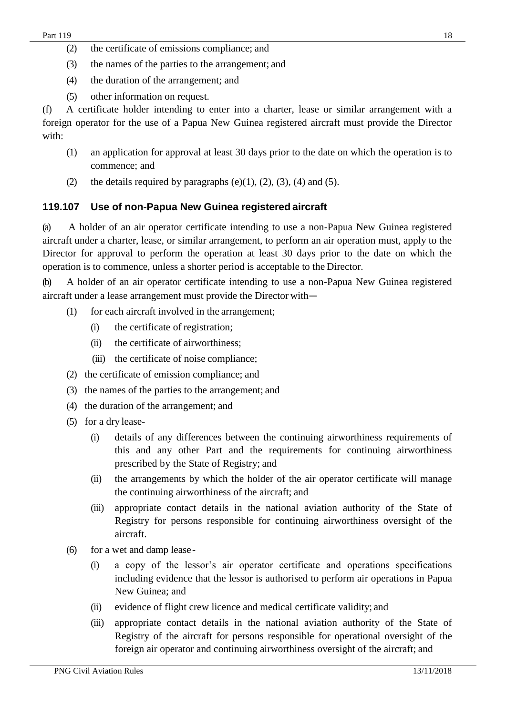- (2) the certificate of emissions compliance; and
- (3) the names of the parties to the arrangement; and
- (4) the duration of the arrangement; and
- (5) other information on request.

(f) A certificate holder intending to enter into a charter, lease or similar arrangement with a foreign operator for the use of a Papua New Guinea registered aircraft must provide the Director with:

- (1) an application for approval at least 30 days prior to the date on which the operation is to commence; and
- (2) the details required by paragraphs  $(e)(1)$ ,  $(2)$ ,  $(3)$ ,  $(4)$  and  $(5)$ .

# <span id="page-17-0"></span>**119.107 Use of non-Papua New Guinea registered aircraft**

(a) A holder of an air operator certificate intending to use a non-Papua New Guinea registered aircraft under a charter, lease, or similar arrangement, to perform an air operation must, apply to the Director for approval to perform the operation at least 30 days prior to the date on which the operation is to commence, unless a shorter period is acceptable to the Director.

(b) A holder of an air operator certificate intending to use a non-Papua New Guinea registered aircraft under a lease arrangement must provide the Director with—

- (1) for each aircraft involved in the arrangement;
	- (i) the certificate of registration;
	- (ii) the certificate of airworthiness;
	- (iii) the certificate of noise compliance;
- (2) the certificate of emission compliance; and
- (3) the names of the parties to the arrangement; and
- (4) the duration of the arrangement; and
- (5) for a dry lease-
	- (i) details of any differences between the continuing airworthiness requirements of this and any other Part and the requirements for continuing airworthiness prescribed by the State of Registry; and
	- (ii) the arrangements by which the holder of the air operator certificate will manage the continuing airworthiness of the aircraft; and
	- (iii) appropriate contact details in the national aviation authority of the State of Registry for persons responsible for continuing airworthiness oversight of the aircraft.
- (6) for a wet and damp lease-
	- (i) a copy of the lessor's air operator certificate and operations specifications including evidence that the lessor is authorised to perform air operations in Papua New Guinea; and
	- (ii) evidence of flight crew licence and medical certificate validity; and
	- (iii) appropriate contact details in the national aviation authority of the State of Registry of the aircraft for persons responsible for operational oversight of the foreign air operator and continuing airworthiness oversight of the aircraft; and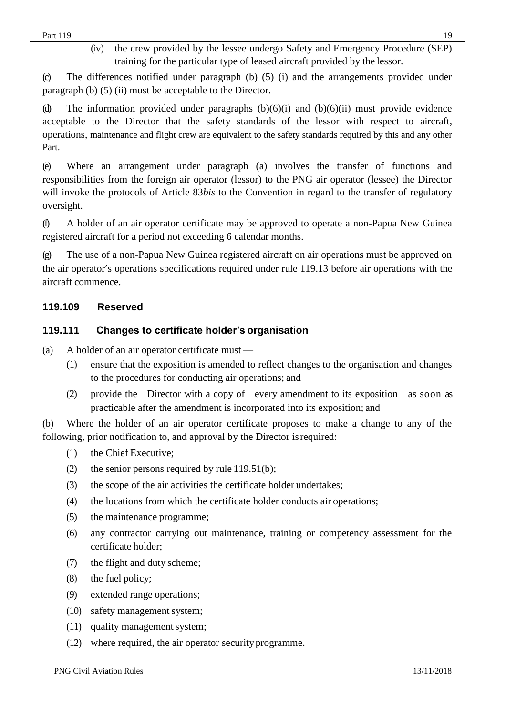(iv) the crew provided by the lessee undergo Safety and Emergency Procedure (SEP) training for the particular type of leased aircraft provided by the lessor.

(c) The differences notified under paragraph (b) (5) (i) and the arrangements provided under paragraph (b) (5) (ii) must be acceptable to the Director.

(d) The information provided under paragraphs  $(b)(6)(i)$  and  $(b)(6)(ii)$  must provide evidence acceptable to the Director that the safety standards of the lessor with respect to aircraft, operations, maintenance and flight crew are equivalent to the safety standards required by this and any other Part.

(e) Where an arrangement under paragraph (a) involves the transfer of functions and responsibilities from the foreign air operator (lessor) to the PNG air operator (lessee) the Director will invoke the protocols of Article 83*bis* to the Convention in regard to the transfer of regulatory oversight.

(f) A holder of an air operator certificate may be approved to operate a non-Papua New Guinea registered aircraft for a period not exceeding 6 calendar months.

(g) The use of a non-Papua New Guinea registered aircraft on air operations must be approved on the air operator's operations specifications required under rule 119.13 before air operations with the aircraft commence.

# <span id="page-18-0"></span>**119.109 Reserved**

# **119.111 Changes to certificate holder's organisation**

(a) A holder of an air operator certificate must —

- (1) ensure that the exposition is amended to reflect changes to the organisation and changes to the procedures for conducting air operations; and
- (2) provide the Director with a copy of every amendment to its exposition as soon as practicable after the amendment is incorporated into its exposition; and

(b) Where the holder of an air operator certificate proposes to make a change to any of the following, prior notification to, and approval by the Director isrequired:

- (1) the Chief Executive;
- (2) the senior persons required by rule 119.51(b);
- (3) the scope of the air activities the certificate holder undertakes;
- (4) the locations from which the certificate holder conducts air operations;
- (5) the maintenance programme;
- (6) any contractor carrying out maintenance, training or competency assessment for the certificate holder;
- (7) the flight and duty scheme;
- (8) the fuel policy;
- (9) extended range operations;
- (10) safety management system;
- (11) quality management system;
- (12) where required, the air operator securityprogramme.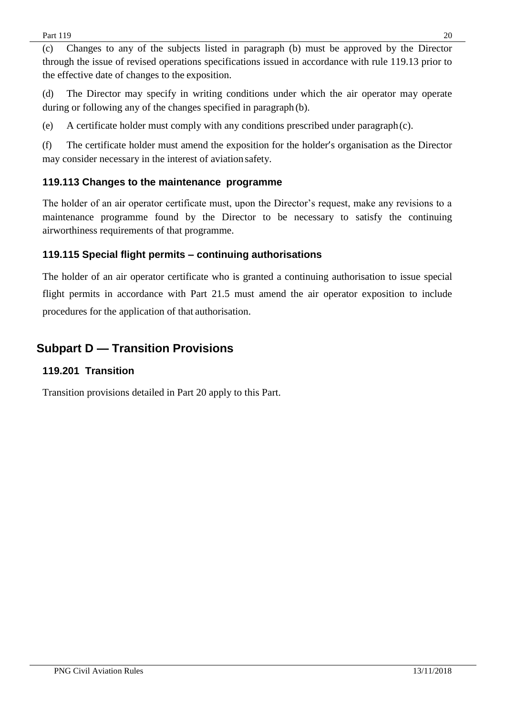(c) Changes to any of the subjects listed in paragraph (b) must be approved by the Director through the issue of revised operations specifications issued in accordance with rule 119.13 prior to the effective date of changes to the exposition.

(d) The Director may specify in writing conditions under which the air operator may operate during or following any of the changes specified in paragraph (b).

(e) A certificate holder must comply with any conditions prescribed under paragraph(c).

(f) The certificate holder must amend the exposition for the holder's organisation as the Director may consider necessary in the interest of aviation safety.

# <span id="page-19-0"></span>**119.113 Changes to the maintenance programme**

The holder of an air operator certificate must, upon the Director's request, make any revisions to a maintenance programme found by the Director to be necessary to satisfy the continuing airworthiness requirements of that programme.

# <span id="page-19-1"></span>**119.115 Special flight permits – continuing authorisations**

The holder of an air operator certificate who is granted a continuing authorisation to issue special flight permits in accordance with Part 21.5 must amend the air operator exposition to include procedures for the application of that authorisation.

# <span id="page-19-2"></span>**Subpart D — Transition Provisions**

## <span id="page-19-3"></span>**119.201 Transition**

Transition provisions detailed in Part 20 apply to this Part.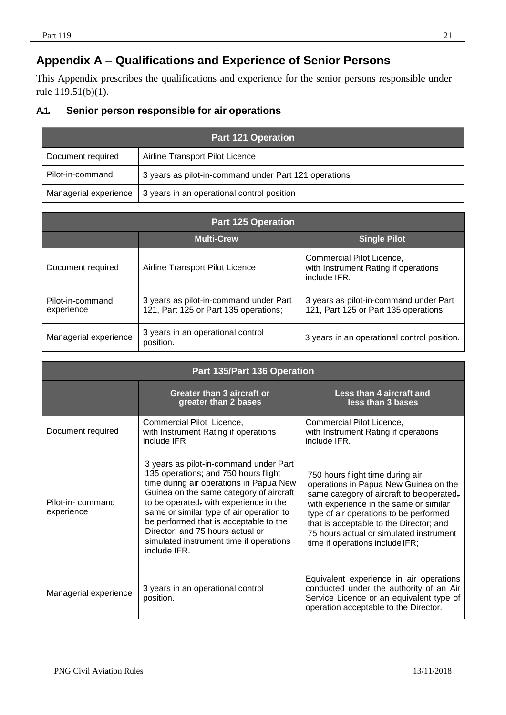# <span id="page-20-0"></span>**Appendix A – Qualifications and Experience of Senior Persons**

This Appendix prescribes the qualifications and experience for the senior persons responsible under rule 119.51(b)(1).

# <span id="page-20-1"></span>**A.1. Senior person responsible for air operations**

| <b>Part 121 Operation</b> |                                                       |  |
|---------------------------|-------------------------------------------------------|--|
| Document required         | Airline Transport Pilot Licence                       |  |
| Pilot-in-command          | 3 years as pilot-in-command under Part 121 operations |  |
| Managerial experience     | 3 years in an operational control position            |  |

| <b>Part 125 Operation</b>      |                                                                                 |                                                                                   |
|--------------------------------|---------------------------------------------------------------------------------|-----------------------------------------------------------------------------------|
|                                | <b>Multi-Crew</b>                                                               | <b>Single Pilot</b>                                                               |
| Document required              | Airline Transport Pilot Licence                                                 | Commercial Pilot Licence,<br>with Instrument Rating if operations<br>include IFR. |
| Pilot-in-command<br>experience | 3 years as pilot-in-command under Part<br>121, Part 125 or Part 135 operations; | 3 years as pilot-in-command under Part<br>121, Part 125 or Part 135 operations;   |
| Managerial experience          | 3 years in an operational control<br>position.                                  | 3 years in an operational control position.                                       |

| Part 135/Part 136 Operation    |                                                                                                                                                                                                                                                                                                                                                                                                     |                                                                                                                                                                                                                                                                                                                                     |
|--------------------------------|-----------------------------------------------------------------------------------------------------------------------------------------------------------------------------------------------------------------------------------------------------------------------------------------------------------------------------------------------------------------------------------------------------|-------------------------------------------------------------------------------------------------------------------------------------------------------------------------------------------------------------------------------------------------------------------------------------------------------------------------------------|
|                                | Greater than 3 aircraft or<br>greater than 2 bases                                                                                                                                                                                                                                                                                                                                                  | Less than 4 aircraft and<br>less than 3 bases                                                                                                                                                                                                                                                                                       |
| Document required              | Commercial Pilot Licence,<br>with Instrument Rating if operations<br>include IFR                                                                                                                                                                                                                                                                                                                    | Commercial Pilot Licence,<br>with Instrument Rating if operations<br>include IFR.                                                                                                                                                                                                                                                   |
| Pilot-in-command<br>experience | 3 years as pilot-in-command under Part<br>135 operations; and 750 hours flight<br>time during air operations in Papua New<br>Guinea on the same category of aircraft<br>to be operated, with experience in the<br>same or similar type of air operation to<br>be performed that is acceptable to the<br>Director; and 75 hours actual or<br>simulated instrument time if operations<br>include IFR. | 750 hours flight time during air<br>operations in Papua New Guinea on the<br>same category of aircraft to be operated,<br>with experience in the same or similar<br>type of air operations to be performed<br>that is acceptable to the Director; and<br>75 hours actual or simulated instrument<br>time if operations include IFR; |
| Managerial experience          | 3 years in an operational control<br>position.                                                                                                                                                                                                                                                                                                                                                      | Equivalent experience in air operations<br>conducted under the authority of an Air<br>Service Licence or an equivalent type of<br>operation acceptable to the Director.                                                                                                                                                             |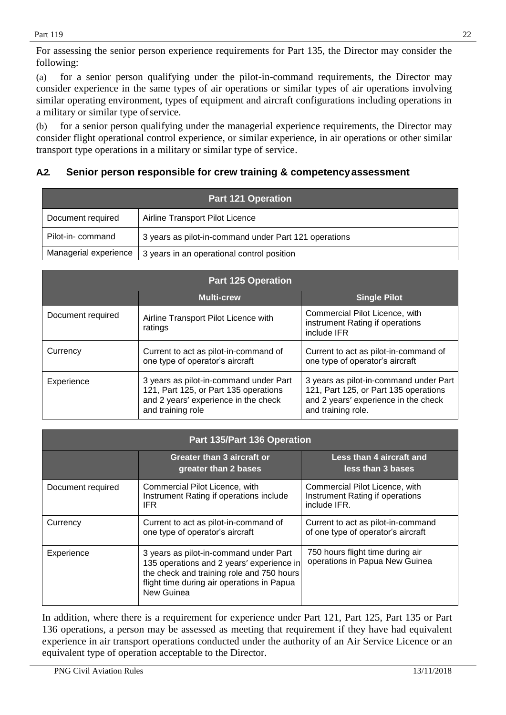For assessing the senior person experience requirements for Part 135, the Director may consider the following:

(a) for a senior person qualifying under the pilot-in-command requirements, the Director may consider experience in the same types of air operations or similar types of air operations involving similar operating environment, types of equipment and aircraft configurations including operations in a military or similar type of service.

(b) for a senior person qualifying under the managerial experience requirements, the Director may consider flight operational control experience, or similar experience, in air operations or other similar transport type operations in a military or similar type of service.

# <span id="page-21-0"></span>**A.2. Senior person responsible for crew training & competencyassessment**

| <b>Part 121 Operation</b> |                                                       |  |
|---------------------------|-------------------------------------------------------|--|
| Document required         | Airline Transport Pilot Licence                       |  |
| Pilot-in-command          | 3 years as pilot-in-command under Part 121 operations |  |
| Managerial experience     | 3 years in an operational control position            |  |

| <b>Part 125 Operation</b> |                                                                                                                                              |                                                                                                                                               |
|---------------------------|----------------------------------------------------------------------------------------------------------------------------------------------|-----------------------------------------------------------------------------------------------------------------------------------------------|
|                           | <b>Multi-crew</b>                                                                                                                            | <b>Single Pilot</b>                                                                                                                           |
| Document required         | Airline Transport Pilot Licence with<br>ratings                                                                                              | Commercial Pilot Licence, with<br>instrument Rating if operations<br>include IFR                                                              |
| Currency                  | Current to act as pilot-in-command of<br>one type of operator's aircraft                                                                     | Current to act as pilot-in-command of<br>one type of operator's aircraft                                                                      |
| Experience                | 3 years as pilot-in-command under Part<br>121, Part 125, or Part 135 operations<br>and 2 years' experience in the check<br>and training role | 3 years as pilot-in-command under Part<br>121, Part 125, or Part 135 operations<br>and 2 years' experience in the check<br>and training role. |

| Part 135/Part 136 Operation |                                                                                                                                                                                              |                                                                                   |
|-----------------------------|----------------------------------------------------------------------------------------------------------------------------------------------------------------------------------------------|-----------------------------------------------------------------------------------|
|                             | Greater than 3 aircraft or<br>greater than 2 bases                                                                                                                                           | Less than 4 aircraft and<br>less than 3 bases                                     |
| Document required           | Commercial Pilot Licence, with<br>Instrument Rating if operations include<br>IFR.                                                                                                            | Commercial Pilot Licence, with<br>Instrument Rating if operations<br>include IFR. |
| Currency                    | Current to act as pilot-in-command of<br>one type of operator's aircraft                                                                                                                     | Current to act as pilot-in-command<br>of one type of operator's aircraft          |
| Experience                  | 3 years as pilot-in-command under Part<br>135 operations and 2 years' experience in<br>the check and training role and 750 hours<br>flight time during air operations in Papua<br>New Guinea | 750 hours flight time during air<br>operations in Papua New Guinea                |

In addition, where there is a requirement for experience under Part 121, Part 125, Part 135 or Part 136 operations, a person may be assessed as meeting that requirement if they have had equivalent experience in air transport operations conducted under the authority of an Air Service Licence or an equivalent type of operation acceptable to the Director.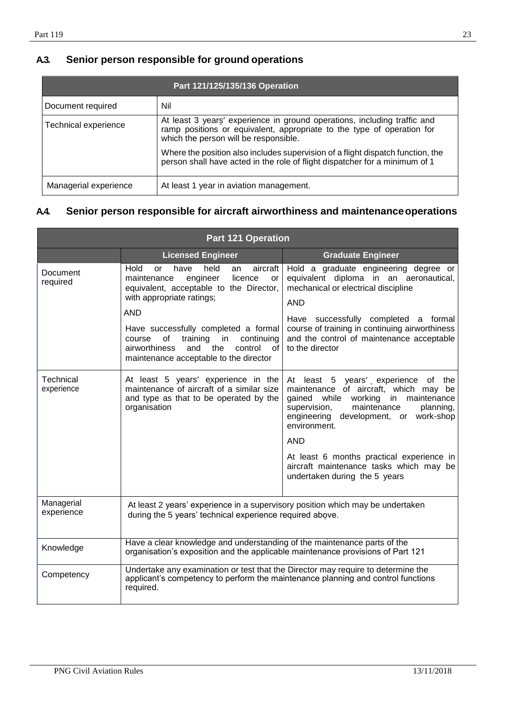# <span id="page-22-0"></span>**A.3. Senior person responsible for ground operations**

| Part 121/125/135/136 Operation |                                                                                                                                                                                             |  |
|--------------------------------|---------------------------------------------------------------------------------------------------------------------------------------------------------------------------------------------|--|
| Document required              | Nil                                                                                                                                                                                         |  |
| Technical experience           | At least 3 years' experience in ground operations, including traffic and<br>ramp positions or equivalent, appropriate to the type of operation for<br>which the person will be responsible. |  |
|                                | Where the position also includes supervision of a flight dispatch function, the<br>person shall have acted in the role of flight dispatcher for a minimum of 1                              |  |
| Managerial experience          | At least 1 year in aviation management.                                                                                                                                                     |  |

# **A.4. Senior person responsible for aircraft airworthiness and maintenanceoperations**

| <b>Part 121 Operation</b> |                                                                                                                                                                                                                                                                                                                                                               |                                                                                                                                                                                                                                                                                                                                                                          |
|---------------------------|---------------------------------------------------------------------------------------------------------------------------------------------------------------------------------------------------------------------------------------------------------------------------------------------------------------------------------------------------------------|--------------------------------------------------------------------------------------------------------------------------------------------------------------------------------------------------------------------------------------------------------------------------------------------------------------------------------------------------------------------------|
|                           | <b>Licensed Engineer</b>                                                                                                                                                                                                                                                                                                                                      | <b>Graduate Engineer</b>                                                                                                                                                                                                                                                                                                                                                 |
| Document<br>required      | Hold<br>held<br>aircraft<br>or<br>have<br>an<br>engineer<br>licence<br>maintenance<br>or<br>equivalent, acceptable to the Director,<br>with appropriate ratings;<br><b>AND</b><br>Have successfully completed a formal<br>training in<br>continuing<br>of<br>course<br>control<br>of<br>airworthiness<br>and<br>the<br>maintenance acceptable to the director | Hold a graduate engineering degree or<br>equivalent diploma in an aeronautical,<br>mechanical or electrical discipline<br><b>AND</b><br>Have successfully completed a formal<br>course of training in continuing airworthiness<br>and the control of maintenance acceptable<br>to the director                                                                           |
| Technical<br>experience   | At least 5 years' experience in the<br>maintenance of aircraft of a similar size<br>and type as that to be operated by the<br>organisation                                                                                                                                                                                                                    | At least 5 years' experience of the<br>maintenance of aircraft, which may be<br>gained while<br>working<br>in<br>maintenance<br>supervision,<br>maintenance<br>planning,<br>engineering development, or work-shop<br>environment.<br><b>AND</b><br>At least 6 months practical experience in<br>aircraft maintenance tasks which may be<br>undertaken during the 5 years |
| Managerial<br>experience  | At least 2 years' experience in a supervisory position which may be undertaken<br>during the 5 years' technical experience required above.                                                                                                                                                                                                                    |                                                                                                                                                                                                                                                                                                                                                                          |
| Knowledge                 | Have a clear knowledge and understanding of the maintenance parts of the<br>organisation's exposition and the applicable maintenance provisions of Part 121                                                                                                                                                                                                   |                                                                                                                                                                                                                                                                                                                                                                          |
| Competency                | Undertake any examination or test that the Director may require to determine the<br>applicant's competency to perform the maintenance planning and control functions<br>required.                                                                                                                                                                             |                                                                                                                                                                                                                                                                                                                                                                          |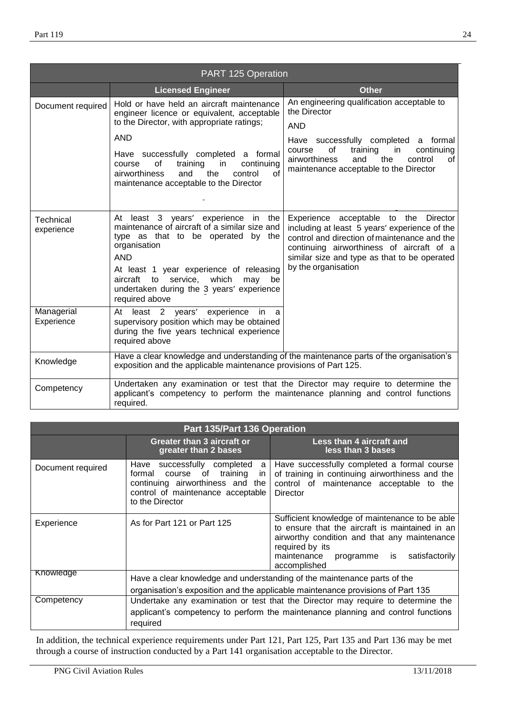| PART 125 Operation       |                                                                                                                                                                                                                                                                                                            |                                                                                                                                                                                                                                                            |
|--------------------------|------------------------------------------------------------------------------------------------------------------------------------------------------------------------------------------------------------------------------------------------------------------------------------------------------------|------------------------------------------------------------------------------------------------------------------------------------------------------------------------------------------------------------------------------------------------------------|
|                          | <b>Licensed Engineer</b>                                                                                                                                                                                                                                                                                   | <b>Other</b>                                                                                                                                                                                                                                               |
| Document required        | Hold or have held an aircraft maintenance<br>engineer licence or equivalent, acceptable<br>to the Director, with appropriate ratings;                                                                                                                                                                      | An engineering qualification acceptable to<br>the Director<br><b>AND</b>                                                                                                                                                                                   |
|                          | <b>AND</b><br>Have successfully completed a formal<br>of<br>training<br>in<br>continuing<br>course<br>of<br>airworthiness<br>the<br>and<br>control<br>maintenance acceptable to the Director                                                                                                               | Have successfully completed a formal<br>of<br>training<br>in<br>continuing<br>course<br>the<br>airworthiness<br>control<br>and<br>of<br>maintenance acceptable to the Director                                                                             |
| Technical<br>experience  | At least 3 years' experience in the<br>maintenance of aircraft of a similar size and<br>type as that to be operated by the<br>organisation<br><b>AND</b><br>At least 1 year experience of releasing<br>aircraft to service, which<br>may be<br>undertaken during the 3 years' experience<br>required above | Experience acceptable to the Director<br>including at least 5 years' experience of the<br>control and direction of maintenance and the<br>continuing airworthiness of aircraft of a<br>similar size and type as that to be operated<br>by the organisation |
| Managerial<br>Experience | At least 2 years' experience<br>in<br>- a<br>supervisory position which may be obtained<br>during the five years technical experience<br>required above                                                                                                                                                    |                                                                                                                                                                                                                                                            |
| Knowledge                | exposition and the applicable maintenance provisions of Part 125.                                                                                                                                                                                                                                          | Have a clear knowledge and understanding of the maintenance parts of the organisation's                                                                                                                                                                    |
| Competency               | required.                                                                                                                                                                                                                                                                                                  | Undertaken any examination or test that the Director may require to determine the<br>applicant's competency to perform the maintenance planning and control functions                                                                                      |

| Part 135/Part 136 Operation |                                                                                                                                                                                  |                                                                                                                                                                                                                                    |  |  |  |  |
|-----------------------------|----------------------------------------------------------------------------------------------------------------------------------------------------------------------------------|------------------------------------------------------------------------------------------------------------------------------------------------------------------------------------------------------------------------------------|--|--|--|--|
|                             | Greater than 3 aircraft or<br>greater than 2 bases                                                                                                                               | Less than 4 aircraft and<br>less than 3 bases                                                                                                                                                                                      |  |  |  |  |
| Document required           | Have successfully completed<br>a l<br>formal course of training<br>in.<br>continuing airworthiness and the<br>control of maintenance acceptable<br>to the Director               | Have successfully completed a formal course<br>of training in continuing airworthiness and the<br>control of maintenance acceptable to the<br>Director                                                                             |  |  |  |  |
| Experience                  | As for Part 121 or Part 125                                                                                                                                                      | Sufficient knowledge of maintenance to be able<br>to ensure that the aircraft is maintained in an<br>airworthy condition and that any maintenance<br>required by its<br>satisfactorily<br>maintenance programme is<br>accomplished |  |  |  |  |
| Knowledge                   | Have a clear knowledge and understanding of the maintenance parts of the                                                                                                         |                                                                                                                                                                                                                                    |  |  |  |  |
|                             | organisation's exposition and the applicable maintenance provisions of Part 135                                                                                                  |                                                                                                                                                                                                                                    |  |  |  |  |
| Competency                  | Undertake any examination or test that the Director may require to determine the<br>applicant's competency to perform the maintenance planning and control functions<br>required |                                                                                                                                                                                                                                    |  |  |  |  |

In addition, the technical experience requirements under Part 121, Part 125, Part 135 and Part 136 may be met through a course of instruction conducted by a Part 141 organisation acceptable to the Director.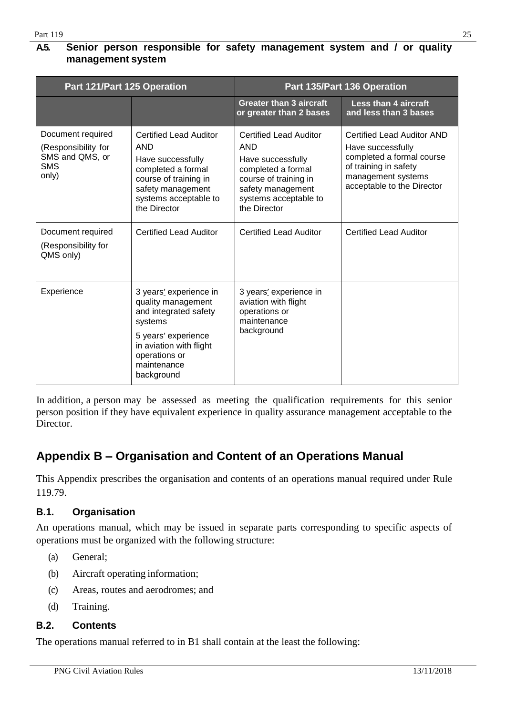# <span id="page-24-0"></span>**A.5. Senior person responsible for safety management system and / or quality management system**

| Part 121/Part 125 Operation                                                        |                                                                                                                                                                                  | Part 135/Part 136 Operation                                                                                                                                                   |                                                                                                                                                           |  |
|------------------------------------------------------------------------------------|----------------------------------------------------------------------------------------------------------------------------------------------------------------------------------|-------------------------------------------------------------------------------------------------------------------------------------------------------------------------------|-----------------------------------------------------------------------------------------------------------------------------------------------------------|--|
|                                                                                    |                                                                                                                                                                                  | <b>Greater than 3 aircraft</b><br>or greater than 2 bases                                                                                                                     | <b>Less than 4 aircraft</b><br>and less than 3 bases                                                                                                      |  |
| Document required<br>(Responsibility for<br>SMS and QMS, or<br><b>SMS</b><br>only) | <b>Certified Lead Auditor</b><br><b>AND</b><br>Have successfully<br>completed a formal<br>course of training in<br>safety management<br>systems acceptable to<br>the Director    | <b>Certified Lead Auditor</b><br><b>AND</b><br>Have successfully<br>completed a formal<br>course of training in<br>safety management<br>systems acceptable to<br>the Director | Certified Lead Auditor AND<br>Have successfully<br>completed a formal course<br>of training in safety<br>management systems<br>acceptable to the Director |  |
| Document required<br>(Responsibility for<br>QMS only)                              | <b>Certified Lead Auditor</b>                                                                                                                                                    | <b>Certified Lead Auditor</b>                                                                                                                                                 | <b>Certified Lead Auditor</b>                                                                                                                             |  |
| Experience                                                                         | 3 years' experience in<br>quality management<br>and integrated safety<br>systems<br>5 years' experience<br>in aviation with flight<br>operations or<br>maintenance<br>background | 3 years' experience in<br>aviation with flight<br>operations or<br>maintenance<br>background                                                                                  |                                                                                                                                                           |  |

In addition, a person may be assessed as meeting the qualification requirements for this senior person position if they have equivalent experience in quality assurance management acceptable to the Director.

# <span id="page-24-1"></span>**Appendix B – Organisation and Content of an Operations Manual**

This Appendix prescribes the organisation and contents of an operations manual required under Rule 119.79.

# <span id="page-24-2"></span>**B.1. Organisation**

An operations manual, which may be issued in separate parts corresponding to specific aspects of operations must be organized with the following structure:

- (a) General;
- (b) Aircraft operating information;
- (c) Areas, routes and aerodromes; and
- (d) Training.

# <span id="page-24-3"></span>**B.2. Contents**

The operations manual referred to in B1 shall contain at the least the following: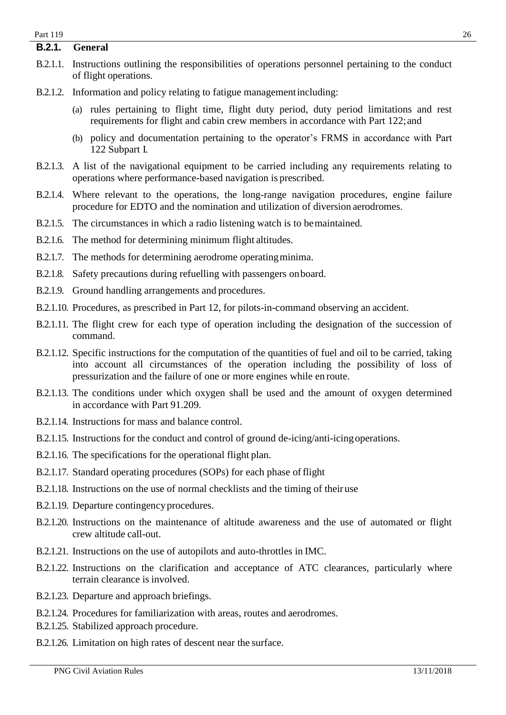### <span id="page-25-0"></span>**B.2.1. General**

- B.2.1.1. Instructions outlining the responsibilities of operations personnel pertaining to the conduct of flight operations.
- B.2.1.2. Information and policy relating to fatigue managementincluding:
	- (a) rules pertaining to flight time, flight duty period, duty period limitations and rest requirements for flight and cabin crew members in accordance with Part 122; and
	- (b) policy and documentation pertaining to the operator's FRMS in accordance with Part 122 Subpart I.
- B.2.1.3. A list of the navigational equipment to be carried including any requirements relating to operations where performance-based navigation is prescribed.
- B.2.1.4. Where relevant to the operations, the long-range navigation procedures, engine failure procedure for EDTO and the nomination and utilization of diversion aerodromes.
- B.2.1.5. The circumstances in which a radio listening watch is to bemaintained.
- B.2.1.6. The method for determining minimum flight altitudes.
- B.2.1.7. The methods for determining aerodrome operatingminima.
- B.2.1.8. Safety precautions during refuelling with passengers onboard.
- B.2.1.9. Ground handling arrangements and procedures.
- B.2.1.10. Procedures, as prescribed in Part 12, for pilots-in-command observing an accident.
- B.2.1.11. The flight crew for each type of operation including the designation of the succession of command.
- B.2.1.12. Specific instructions for the computation of the quantities of fuel and oil to be carried, taking into account all circumstances of the operation including the possibility of loss of pressurization and the failure of one or more engines while en route.
- B.2.1.13. The conditions under which oxygen shall be used and the amount of oxygen determined in accordance with Part 91.209.
- B.2.1.14. Instructions for mass and balance control.
- B.2.1.15. Instructions for the conduct and control of ground de-icing/anti-icingoperations.
- B.2.1.16. The specifications for the operational flight plan.
- B.2.1.17. Standard operating procedures (SOPs) for each phase of flight
- B.2.1.18. Instructions on the use of normal checklists and the timing of their use
- B.2.1.19. Departure contingency procedures.
- B.2.1.20. Instructions on the maintenance of altitude awareness and the use of automated or flight crew altitude call-out.
- B.2.1.21. Instructions on the use of autopilots and auto-throttles in IMC.
- B.2.1.22. Instructions on the clarification and acceptance of ATC clearances, particularly where terrain clearance is involved.
- B.2.1.23. Departure and approach briefings.
- B.2.1.24. Procedures for familiarization with areas, routes and aerodromes.
- B.2.1.25. Stabilized approach procedure.
- B.2.1.26. Limitation on high rates of descent near the surface.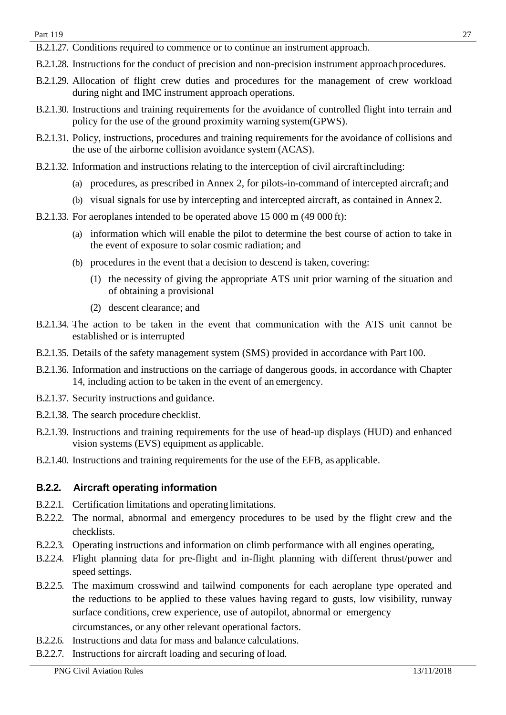B.2.1.27. Conditions required to commence or to continue an instrument approach.

- B.2.1.28. Instructions for the conduct of precision and non-precision instrument approach procedures.
- B.2.1.29. Allocation of flight crew duties and procedures for the management of crew workload during night and IMC instrument approach operations.
- B.2.1.30. Instructions and training requirements for the avoidance of controlled flight into terrain and policy for the use of the ground proximity warning system(GPWS).
- B.2.1.31. Policy, instructions, procedures and training requirements for the avoidance of collisions and the use of the airborne collision avoidance system (ACAS).
- B.2.1.32. Information and instructions relating to the interception of civil aircraftincluding:
	- (a) procedures, as prescribed in Annex 2, for pilots-in-command of intercepted aircraft; and
	- (b) visual signals for use by intercepting and intercepted aircraft, as contained in Annex 2.
- B.2.1.33. For aeroplanes intended to be operated above 15 000 m (49 000 ft):
	- (a) information which will enable the pilot to determine the best course of action to take in the event of exposure to solar cosmic radiation; and
	- (b) procedures in the event that a decision to descend is taken, covering:
		- (1) the necessity of giving the appropriate ATS unit prior warning of the situation and of obtaining a provisional
		- (2) descent clearance; and
- B.2.1.34. The action to be taken in the event that communication with the ATS unit cannot be established or is interrupted
- B.2.1.35. Details of the safety management system (SMS) provided in accordance with Part 100.
- B.2.1.36. Information and instructions on the carriage of dangerous goods, in accordance with Chapter 14, including action to be taken in the event of an emergency.
- B.2.1.37. Security instructions and guidance.
- B.2.1.38. The search procedure checklist.
- B.2.1.39. Instructions and training requirements for the use of head-up displays (HUD) and enhanced vision systems (EVS) equipment as applicable.
- B.2.1.40. Instructions and training requirements for the use of the EFB, as applicable.

## <span id="page-26-0"></span>**B.2.2. Aircraft operating information**

- B.2.2.1. Certification limitations and operating limitations.
- B.2.2.2. The normal, abnormal and emergency procedures to be used by the flight crew and the checklists.
- B.2.2.3. Operating instructions and information on climb performance with all engines operating,
- B.2.2.4. Flight planning data for pre-flight and in-flight planning with different thrust/power and speed settings.
- B.2.2.5. The maximum crosswind and tailwind components for each aeroplane type operated and the reductions to be applied to these values having regard to gusts, low visibility, runway surface conditions, crew experience, use of autopilot, abnormal or emergency
	- circumstances, or any other relevant operational factors.
- B.2.2.6. Instructions and data for mass and balance calculations.
- B.2.2.7. Instructions for aircraft loading and securing of load.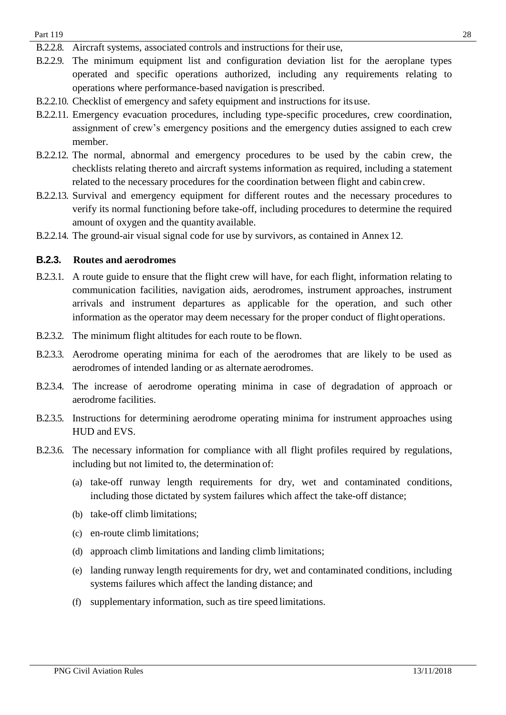- B.2.2.8. Aircraft systems, associated controls and instructions for their use,
- B.2.2.9. The minimum equipment list and configuration deviation list for the aeroplane types operated and specific operations authorized, including any requirements relating to operations where performance-based navigation is prescribed.
- B.2.2.10. Checklist of emergency and safety equipment and instructions for itsuse.
- B.2.2.11. Emergency evacuation procedures, including type-specific procedures, crew coordination, assignment of crew's emergency positions and the emergency duties assigned to each crew member.
- B.2.2.12. The normal, abnormal and emergency procedures to be used by the cabin crew, the checklists relating thereto and aircraft systems information as required, including a statement related to the necessary procedures for the coordination between flight and cabin crew.
- B.2.2.13. Survival and emergency equipment for different routes and the necessary procedures to verify its normal functioning before take-off, including procedures to determine the required amount of oxygen and the quantity available.
- B.2.2.14. The ground-air visual signal code for use by survivors, as contained in Annex 12.

#### <span id="page-27-0"></span>**B.2.3. Routes and aerodromes**

- B.2.3.1. A route guide to ensure that the flight crew will have, for each flight, information relating to communication facilities, navigation aids, aerodromes, instrument approaches, instrument arrivals and instrument departures as applicable for the operation, and such other information as the operator may deem necessary for the proper conduct of flight operations.
- B.2.3.2. The minimum flight altitudes for each route to be flown.
- B.2.3.3. Aerodrome operating minima for each of the aerodromes that are likely to be used as aerodromes of intended landing or as alternate aerodromes.
- B.2.3.4. The increase of aerodrome operating minima in case of degradation of approach or aerodrome facilities.
- B.2.3.5. Instructions for determining aerodrome operating minima for instrument approaches using HUD and EVS.
- B.2.3.6. The necessary information for compliance with all flight profiles required by regulations, including but not limited to, the determination of:
	- (a) take-off runway length requirements for dry, wet and contaminated conditions, including those dictated by system failures which affect the take-off distance;
	- (b) take-off climb limitations;
	- (c) en-route climb limitations;
	- (d) approach climb limitations and landing climb limitations;
	- (e) landing runway length requirements for dry, wet and contaminated conditions, including systems failures which affect the landing distance; and
	- (f) supplementary information, such as tire speed limitations.